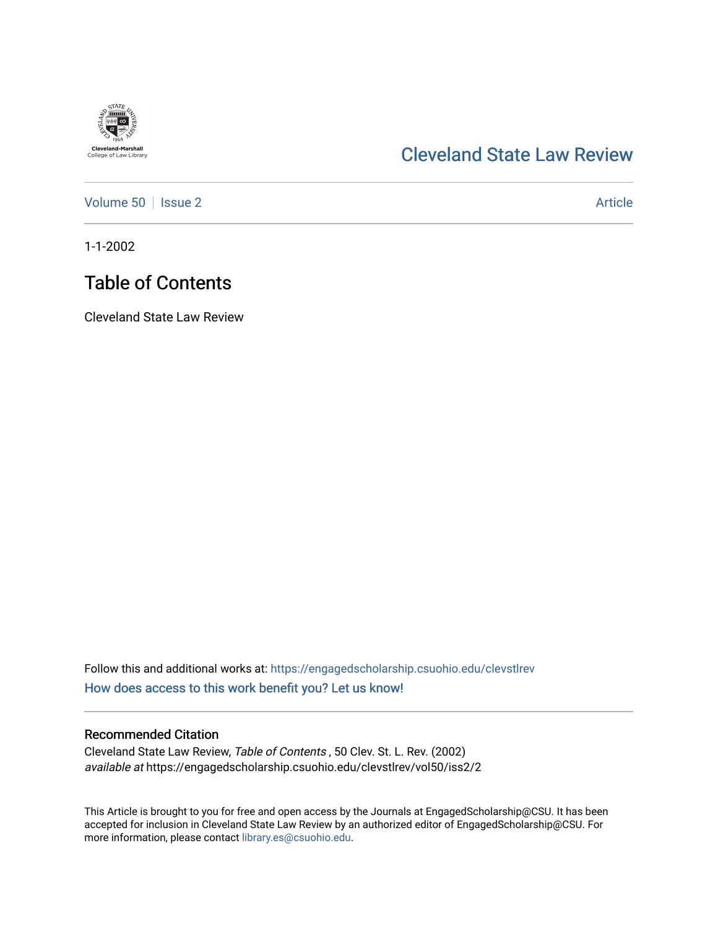

## [Cleveland State Law Review](https://engagedscholarship.csuohio.edu/clevstlrev)

[Volume 50](https://engagedscholarship.csuohio.edu/clevstlrev/vol50) | [Issue 2](https://engagedscholarship.csuohio.edu/clevstlrev/vol50/iss2) Article

1-1-2002

## Table of Contents

Cleveland State Law Review

Follow this and additional works at: [https://engagedscholarship.csuohio.edu/clevstlrev](https://engagedscholarship.csuohio.edu/clevstlrev?utm_source=engagedscholarship.csuohio.edu%2Fclevstlrev%2Fvol50%2Fiss2%2F2&utm_medium=PDF&utm_campaign=PDFCoverPages) [How does access to this work benefit you? Let us know!](http://library.csuohio.edu/engaged/)

### Recommended Citation

Cleveland State Law Review, Table of Contents , 50 Clev. St. L. Rev. (2002) available at https://engagedscholarship.csuohio.edu/clevstlrev/vol50/iss2/2

This Article is brought to you for free and open access by the Journals at EngagedScholarship@CSU. It has been accepted for inclusion in Cleveland State Law Review by an authorized editor of EngagedScholarship@CSU. For more information, please contact [library.es@csuohio.edu](mailto:library.es@csuohio.edu).